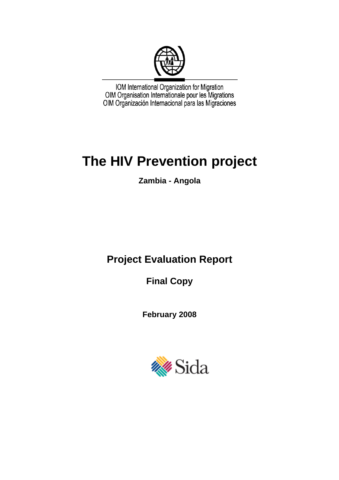

IOM International Organization for Migration<br>OIM Organisation Internationale pour les Migrations<br>OIM Organización Internacional para las Migraciones

# **The HIV Prevention project**

**Zambia - Angola** 

# **Project Evaluation Report**

**Final Copy** 

**February 2008** 

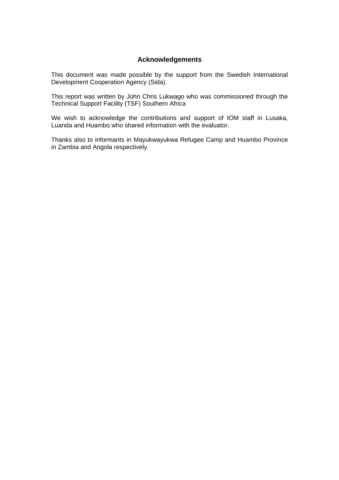# **Acknowledgements**

<span id="page-1-0"></span>This document was made possible by the support from the Swedish International Development Cooperation Agency (Sida).

This report was written by John Chris Lukwago who was commissioned through the Technical Support Facility (TSF) Southern Africa

We wish to acknowledge the contributions and support of IOM staff in Lusaka, Luanda and Huambo who shared information with the evaluator.

Thanks also to informants in Mayukwayukwa Refugee Camp and Huambo Province in Zambia and Angola respectively.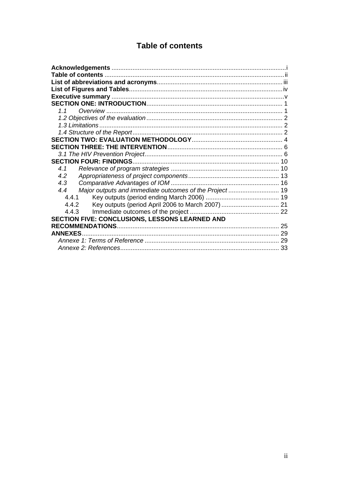# **Table of contents**

<span id="page-2-0"></span>

| 1.1                                                           |    |
|---------------------------------------------------------------|----|
|                                                               |    |
|                                                               |    |
|                                                               |    |
|                                                               |    |
|                                                               |    |
|                                                               |    |
|                                                               |    |
| 4.1                                                           |    |
| 4.2                                                           |    |
| 4.3                                                           |    |
| Major outputs and immediate outcomes of the Project 19<br>4.4 |    |
| 4.4.1                                                         |    |
| 4.4.2                                                         |    |
| 4.4.3                                                         |    |
| SECTION FIVE: CONCLUSIONS, LESSONS LEARNED AND                |    |
|                                                               |    |
| <b>ANNEXES</b>                                                |    |
|                                                               |    |
|                                                               | 33 |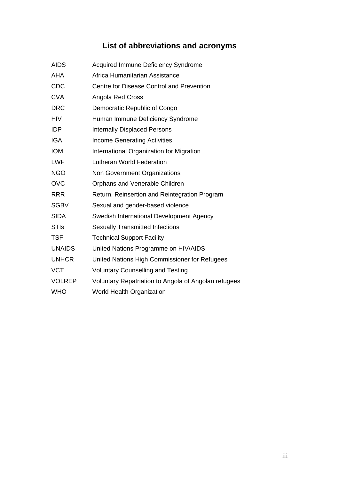# **List of abbreviations and acronyms**

<span id="page-3-0"></span>

| <b>AIDS</b>   | <b>Acquired Immune Deficiency Syndrome</b>           |
|---------------|------------------------------------------------------|
| <b>AHA</b>    | Africa Humanitarian Assistance                       |
| CDC           | Centre for Disease Control and Prevention            |
| <b>CVA</b>    | Angola Red Cross                                     |
| <b>DRC</b>    | Democratic Republic of Congo                         |
| <b>HIV</b>    | Human Immune Deficiency Syndrome                     |
| IDP           | <b>Internally Displaced Persons</b>                  |
| <b>IGA</b>    | <b>Income Generating Activities</b>                  |
| <b>IOM</b>    | International Organization for Migration             |
| <b>LWF</b>    | <b>Lutheran World Federation</b>                     |
| <b>NGO</b>    | Non Government Organizations                         |
| <b>OVC</b>    | Orphans and Venerable Children                       |
| <b>RRR</b>    | Return, Reinsertion and Reintegration Program        |
| <b>SGBV</b>   | Sexual and gender-based violence                     |
| <b>SIDA</b>   | Swedish International Development Agency             |
| <b>STIs</b>   | <b>Sexually Transmitted Infections</b>               |
| TSF           | <b>Technical Support Facility</b>                    |
| <b>UNAIDS</b> | United Nations Programme on HIV/AIDS                 |
| <b>UNHCR</b>  | United Nations High Commissioner for Refugees        |
| <b>VCT</b>    | <b>Voluntary Counselling and Testing</b>             |
| <b>VOLREP</b> | Voluntary Repatriation to Angola of Angolan refugees |
| <b>WHO</b>    | <b>World Health Organization</b>                     |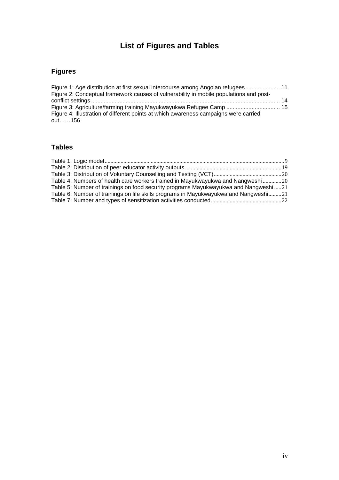# **List of Figures and Tables**

# <span id="page-4-0"></span>**Figures**

| Figure 1: Age distribution at first sexual intercourse among Angolan refugees 11       |  |
|----------------------------------------------------------------------------------------|--|
| Figure 2: Conceptual framework causes of vulnerability in mobile populations and post- |  |
|                                                                                        |  |
| Figure 3: Agriculture/farming training Mayukwayukwa Refugee Camp  15                   |  |
| Figure 4: Illustration of different points at which awareness campaigns were carried   |  |
| out……156                                                                               |  |

# **Tables**

| Table 4: Numbers of health care workers trained in Mayukwayukwa and Nangweshi 20      |  |
|---------------------------------------------------------------------------------------|--|
| Table 5: Number of trainings on food security programs Mayukwayukwa and Nangweshi  21 |  |
| Table 6: Number of trainings on life skills programs in Mayukwayukwa and Nangweshi21  |  |
|                                                                                       |  |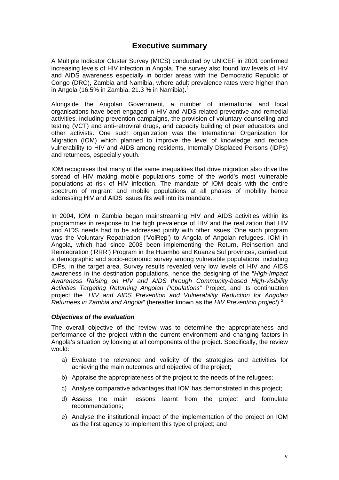# **Executive summary**

<span id="page-5-0"></span>A Multiple Indicator Cluster Survey (MICS) conducted by UNICEF in 2001 confirmed increasing levels of HIV infection in Angola. The survey also found low levels of HIV and AIDS awareness especially in border areas with the Democratic Republic of Congo (DRC), Zambia and Namibia, where adult prevalence rates were higher than in Angola ([1](#page-41-1)6.5% in Zambia, 21.3 % in Namibia).<sup>1</sup>

Alongside the Angolan Government, a number of international and local organisations have been engaged in HIV and AIDS related preventive and remedial activities, including prevention campaigns, the provision of voluntary counselling and testing (VCT) and anti-retroviral drugs, and capacity building of peer educators and other activists. One such organization was the International Organization for Migration (IOM) which planned to improve the level of knowledge and reduce vulnerability to HIV and AIDS among residents, Internally Displaced Persons (IDPs) and returnees, especially youth.

IOM recognises that many of the same inequalities that drive migration also drive the spread of HIV making mobile populations some of the world's most vulnerable populations at risk of HIV infection. The mandate of IOM deals with the entire spectrum of migrant and mobile populations at all phases of mobility hence addressing HIV and AIDS issues fits well into its mandate.

In 2004, IOM in Zambia began mainstreaming HIV and AIDS activities within its programmes in response to the high prevalence of HIV and the realization that HIV and AIDS needs had to be addressed jointly with other issues. One such program was the Voluntary Repatriation ('VolRep') to Angola of Angolan refugees. IOM in Angola, which had since 2003 been implementing the Return, Reinsertion and Reintegration ('RRR') Program in the Huambo and Kuanza Sul provinces, carried out a demographic and socio-economic survey among vulnerable populations, including IDPs, in the target area. Survey results revealed very low levels of HIV and AIDS awareness in the destination populations, hence the designing of the "*High-Impact Awareness Raising on HIV and AIDS through Community-based High-visibility Activities Targeting Returning Angolan Populations*" Project, and its continuation project the "*HIV and AIDS Prevention and Vulnerability Reduction for Angolan Returnees in Zambia and Angola*" (hereafter known as the *HIV Prevention project*).[2](#page-41-2)

#### *Objectives of the evaluation*

The overall objective of the review was to determine the appropriateness and performance of the project within the current environment and changing factors in Angola's situation by looking at all components of the project. Specifically, the review would:

- a) Evaluate the relevance and validity of the strategies and activities for achieving the main outcomes and objective of the project;
- b) Appraise the appropriateness of the project to the needs of the refugees;
- c) Analyse comparative advantages that IOM has demonstrated in this project;
- d) Assess the main lessons learnt from the project and formulate recommendations;
- e) Analyse the institutional impact of the implementation of the project on IOM as the first agency to implement this type of project; and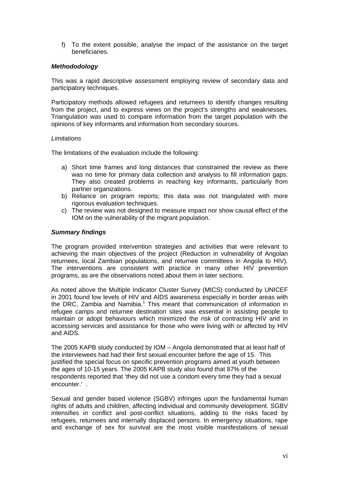f) To the extent possible, analyse the impact of the assistance on the target beneficiaries.

#### *Methododology*

This was a rapid descriptive assessment employing review of secondary data and participatory techniques.

Participatory methods allowed refugees and returnees to identify changes resulting from the project, and to express views on the project's strengths and weaknesses. Triangulation was used to compare information from the target population with the opinions of key informants and information from secondary sources.

#### *Limitations*

The limitations of the evaluation include the following:

- a) Short time frames and long distances that constrained the review as there was no time for primary data collection and analysis to fill information gaps. They also created problems in reaching key informants, particularly from partner organizations.
- b) Reliance on program reports; this data was not triangulated with more rigorous evaluation techniques.
- c) The review was not designed to measure impact nor show causal effect of the IOM on the vulnerability of the migrant population.

#### *Summary findings*

The program provided intervention strategies and activities that were relevant to achieving the main objectives of the project (Reduction in vulnerability of Angolan returnees, local Zambian populations, and returnee committees in Angola to HIV). The interventions are consistent with practice in many other HIV prevention programs, as are the observations noted about them in later sections.

As noted above the Multiple Indicator Cluster Survey (MICS) conducted by UNICEF in 2001 found low levels of HIV and AIDS awareness especially in border areas with the DRC, Zambia and Namibia.<sup>1</sup> This meant that communication of information in refugee camps and returnee destination sites was essential in assisting people to maintain or adopt behaviours which minimized the risk of contracting HIV and in accessing services and assistance for those who were living with or affected by HIV and AIDS.

The 2005 KAPB study conducted by IOM – Angola demonstrated that at least half of the interviewees had had their first sexual encounter before the age of 15. This justified the special focus on specific prevention programs aimed at youth between the ages of 10-15 years. The 2005 KAPB study also found that 87% of the respondents reported that 'they did not use a condom every time they had a sexual encounter.' .

Sexual and gender based violence (SGBV) infringes upon the fundamental human rights of adults and children, affecting individual and community development. SGBV intensifies in conflict and post-conflict situations, adding to the risks faced by refugees, returnees and internally displaced persons. In emergency situations, rape and exchange of sex for survival are the most visible manifestations of sexual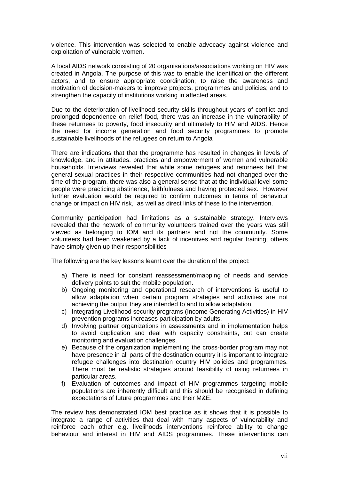violence. This intervention was selected to enable advocacy against violence and exploitation of vulnerable women.

A local AIDS network consisting of 20 organisations/associations working on HIV was created in Angola. The purpose of this was to enable the identification the different actors, and to ensure appropriate coordination; to raise the awareness and motivation of decision-makers to improve projects, programmes and policies; and to strengthen the capacity of institutions working in affected areas.

Due to the deterioration of livelihood security skills throughout years of conflict and prolonged dependence on relief food, there was an increase in the vulnerability of these returnees to poverty, food insecurity and ultimately to HIV and AIDS. Hence the need for income generation and food security programmes to promote sustainable livelihoods of the refugees on return to Angola

There are indications that that the programme has resulted in changes in levels of knowledge, and in attitudes, practices and empowerment of women and vulnerable households. Interviews revealed that while some refugees and returnees felt that general sexual practices in their respective communities had not changed over the time of the program, there was also a general sense that at the individual level some people were practicing abstinence, faithfulness and having protected sex. However further evaluation would be required to confirm outcomes in terms of behaviour change or impact on HIV risk, as well as direct links of these to the intervention.

Community participation had limitations as a sustainable strategy. Interviews revealed that the network of community volunteers trained over the years was still viewed as belonging to IOM and its partners and not the community. Some volunteers had been weakened by a lack of incentives and regular training; others have simply given up their responsibilities

The following are the key lessons learnt over the duration of the project:

- a) There is need for constant reassessment/mapping of needs and service delivery points to suit the mobile population.
- b) Ongoing monitoring and operational research of interventions is useful to allow adaptation when certain program strategies and activities are not achieving the output they are intended to and to allow adaptation
- c) Integrating Livelihood security programs (Income Generating Activities) in HIV prevention programs increases participation by adults.
- d) Involving partner organizations in assessments and in implementation helps to avoid duplication and deal with capacity constraints, but can create monitoring and evaluation challenges.
- e) Because of the organization implementing the cross-border program may not have presence in all parts of the destination country it is important to integrate refugee challenges into destination country HIV policies and programmes. There must be realistic strategies around feasibility of using returnees in particular areas.
- f) Evaluation of outcomes and impact of HIV programmes targeting mobile populations are inherently difficult and this should be recognised in defining expectations of future programmes and their M&E.

The review has demonstrated IOM best practice as it shows that it is possible to integrate a range of activities that deal with many aspects of vulnerability and reinforce each other e.g. livelihoods interventions reinforce ability to change behaviour and interest in HIV and AIDS programmes. These interventions can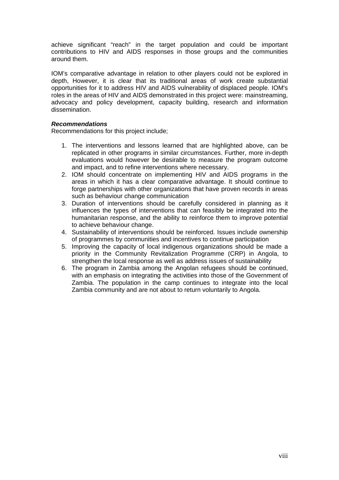achieve significant "reach" in the target population and could be important contributions to HIV and AIDS responses in those groups and the communities around them.

IOM's comparative advantage in relation to other players could not be explored in depth, However, it is clear that its traditional areas of work create substantial opportunities for it to address HIV and AIDS vulnerability of displaced people. IOM's roles in the areas of HIV and AIDS demonstrated in this project were: mainstreaming, advocacy and policy development, capacity building, research and information dissemination.

#### *Recommendations*

Recommendations for this project include;

- 1. The interventions and lessons learned that are highlighted above, can be replicated in other programs in similar circumstances. Further, more in-depth evaluations would however be desirable to measure the program outcome and impact, and to refine interventions where necessary.
- 2. IOM should concentrate on implementing HIV and AIDS programs in the areas in which it has a clear comparative advantage. It should continue to forge partnerships with other organizations that have proven records in areas such as behaviour change communication
- 3. Duration of interventions should be carefully considered in planning as it influences the types of interventions that can feasibly be integrated into the humanitarian response, and the ability to reinforce them to improve potential to achieve behaviour change.
- 4. Sustainability of interventions should be reinforced. Issues include ownership of programmes by communities and incentives to continue participation
- 5. Improving the capacity of local indigenous organizations should be made a priority in the Community Revitalization Programme (CRP) in Angola, to strengthen the local response as well as address issues of sustainability
- 6. The program in Zambia among the Angolan refugees should be continued, with an emphasis on integrating the activities into those of the Government of Zambia. The population in the camp continues to integrate into the local Zambia community and are not about to return voluntarily to Angola.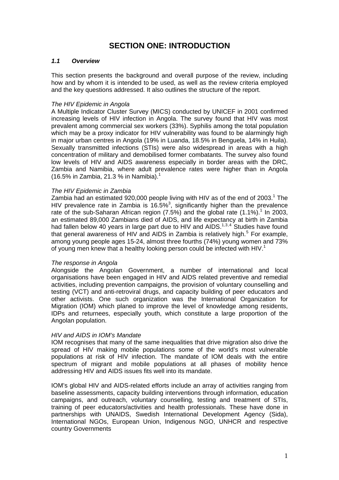# **SECTION ONE: INTRODUCTION**

#### <span id="page-9-0"></span>*1.1 Overview*

This section presents the background and overall purpose of the review, including how and by whom it is intended to be used, as well as the review criteria employed and the key questions addressed. It also outlines the structure of the report.

#### *The HIV Epidemic in Angola*

A Multiple Indicator Cluster Survey (MICS) conducted by UNICEF in 2001 confirmed increasing levels of HIV infection in Angola. The survey found that HIV was most prevalent among commercial sex workers (33%). Syphilis among the total population which may be a proxy indicator for HIV vulnerability was found to be alarmingly high in major urban centres in Angola (19% in Luanda, 18.5% in Benguela, 14% in Huila). Sexually transmitted infections (STIs) were also widespread in areas with a high concentration of military and demobilised former combatants. The survey also found low levels of HIV and AIDS awareness especially in border areas with the DRC, Zambia and Namibia, where adult prevalence rates were higher than in Angola (16.5% in Zambia, 21.3 % in Namibia).<sup>1</sup>

#### *The HIV Epidemic in Zambia*

Zambia had an estimated 920,000 people living with HIV as of the end of 2003.<sup>1</sup> The HIV prevalence rate in Zambia is 16.5%<sup>3</sup>, significantly higher than the prevalence rate of the sub-Saharan African region  $(7.5%)$  and the global rate  $(1.1%)$ .<sup>1</sup> In 2003, an estimated 89,000 Zambians died of AIDS, and life expectancy at birth in Zambia had fallen below [4](#page-41-2)0 years in large part due to HIV and AIDS. $1,3,4$  $1,3,4$  $1,3,4$  Studies have found that general awareness of HIV and AIDS in Zambia is relatively high.<sup>[5](#page-41-2)</sup> For example, among young people ages 15-24, almost three fourths (74%) young women and 73% of young men knew that a healthy looking person could be infected with HIV.<sup>1</sup>

#### *The response in Angola*

Alongside the Angolan Government, a number of international and local organisations have been engaged in HIV and AIDS related preventive and remedial activities, including prevention campaigns, the provision of voluntary counselling and testing (VCT) and anti-retroviral drugs, and capacity building of peer educators and other activists. One such organization was the International Organization for Migration (IOM) which planed to improve the level of knowledge among residents, IDPs and returnees, especially youth, which constitute a large proportion of the Angolan population.

#### *HIV and AIDS in IOM's Mandate*

IOM recognises that many of the same inequalities that drive migration also drive the spread of HIV making mobile populations some of the world's most vulnerable populations at risk of HIV infection. The mandate of IOM deals with the entire spectrum of migrant and mobile populations at all phases of mobility hence addressing HIV and AIDS issues fits well into its mandate.

IOM's global HIV and AIDS-related efforts include an array of activities ranging from baseline assessments, capacity building interventions through information, education campaigns, and outreach, voluntary counselling, testing and treatment of STIs, training of peer educators/activities and health professionals. These have done in partnerships with UNAIDS, Swedish International Development Agency (Sida), International NGOs, European Union, Indigenous NGO, UNHCR and respective country Governments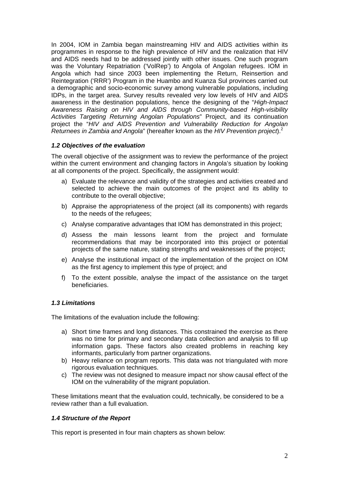<span id="page-10-0"></span>In 2004, IOM in Zambia began mainstreaming HIV and AIDS activities within its programmes in response to the high prevalence of HIV and the realization that HIV and AIDS needs had to be addressed jointly with other issues. One such program was the Voluntary Repatriation ('VolRep') to Angola of Angolan refugees. IOM in Angola which had since 2003 been implementing the Return, Reinsertion and Reintegration ('RRR') Program in the Huambo and Kuanza Sul provinces carried out a demographic and socio-economic survey among vulnerable populations, including IDPs, in the target area. Survey results revealed very low levels of HIV and AIDS awareness in the destination populations, hence the designing of the "*High-Impact Awareness Raising on HIV and AIDS through Community-based High-visibility Activities Targeting Returning Angolan Populations*" Project, and its continuation project the "*HIV and AIDS Prevention and Vulnerability Reduction for Angolan Returnees in Zambia and Angola*" (hereafter known as the *HIV Prevention project*).2

# *1.2 Objectives of the evaluation*

The overall objective of the assignment was to review the performance of the project within the current environment and changing factors in Angola's situation by looking at all components of the project. Specifically, the assignment would:

- a) Evaluate the relevance and validity of the strategies and activities created and selected to achieve the main outcomes of the project and its ability to contribute to the overall objective;
- b) Appraise the appropriateness of the project (all its components) with regards to the needs of the refugees;
- c) Analyse comparative advantages that IOM has demonstrated in this project;
- d) Assess the main lessons learnt from the project and formulate recommendations that may be incorporated into this project or potential projects of the same nature, stating strengths and weaknesses of the project;
- e) Analyse the institutional impact of the implementation of the project on IOM as the first agency to implement this type of project; and
- f) To the extent possible, analyse the impact of the assistance on the target beneficiaries.

# *1.3 Limitations*

The limitations of the evaluation include the following:

- a) Short time frames and long distances. This constrained the exercise as there was no time for primary and secondary data collection and analysis to fill up information gaps. These factors also created problems in reaching key informants, particularly from partner organizations.
- b) Heavy reliance on program reports. This data was not triangulated with more rigorous evaluation techniques.
- c) The review was not designed to measure impact nor show causal effect of the IOM on the vulnerability of the migrant population.

These limitations meant that the evaluation could, technically, be considered to be a review rather than a full evaluation.

#### *1.4 Structure of the Report*

This report is presented in four main chapters as shown below: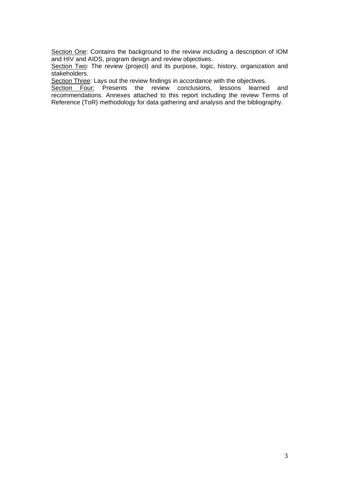Section One: Contains the background to the review including a description of IOM and HIV and AIDS, program design and review objectives.

Section Two: The review (project) and its purpose, logic, history, organization and stakeholders.

Section Three: Lays out the review findings in accordance with the objectives.

Section Four: Presents the review conclusions, lessons learned and recommendations. Annexes attached to this report including the review Terms of Reference (ToR) methodology for data gathering and analysis and the bibliography.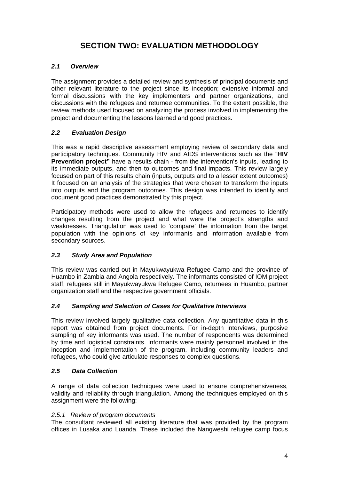# **SECTION TWO: EVALUATION METHODOLOGY**

# <span id="page-12-0"></span>*2.1 Overview*

The assignment provides a detailed review and synthesis of principal documents and other relevant literature to the project since its inception; extensive informal and formal discussions with the key implementers and partner organizations, and discussions with the refugees and returnee communities. To the extent possible, the review methods used focused on analyzing the process involved in implementing the project and documenting the lessons learned and good practices.

# *2.2 Evaluation Design*

This was a rapid descriptive assessment employing review of secondary data and participatory techniques. Community HIV and AIDS interventions such as the "**HIV Prevention project"** have a results chain - from the intervention's inputs, leading to its immediate outputs, and then to outcomes and final impacts. This review largely focused on part of this results chain (inputs, outputs and to a lesser extent outcomes) It focused on an analysis of the strategies that were chosen to transform the inputs into outputs and the program outcomes. This design was intended to identify and document good practices demonstrated by this project.

Participatory methods were used to allow the refugees and returnees to identify changes resulting from the project and what were the project's strengths and weaknesses. Triangulation was used to 'compare' the information from the target population with the opinions of key informants and information available from secondary sources.

# *2.3 Study Area and Population*

This review was carried out in Mayukwayukwa Refugee Camp and the province of Huambo in Zambia and Angola respectively. The informants consisted of IOM project staff, refugees still in Mayukwayukwa Refugee Camp, returnees in Huambo, partner organization staff and the respective government officials.

# *2.4 Sampling and Selection of Cases for Qualitative Interviews*

This review involved largely qualitative data collection. Any quantitative data in this report was obtained from project documents. For in-depth interviews, purposive sampling of key informants was used. The number of respondents was determined by time and logistical constraints. Informants were mainly personnel involved in the inception and implementation of the program, including community leaders and refugees, who could give articulate responses to complex questions.

# *2.5 Data Collection*

A range of data collection techniques were used to ensure comprehensiveness, validity and reliability through triangulation. Among the techniques employed on this assignment were the following:

# *2.5.1 Review of program documents*

The consultant reviewed all existing literature that was provided by the program offices in Lusaka and Luanda. These included the Nangweshi refugee camp focus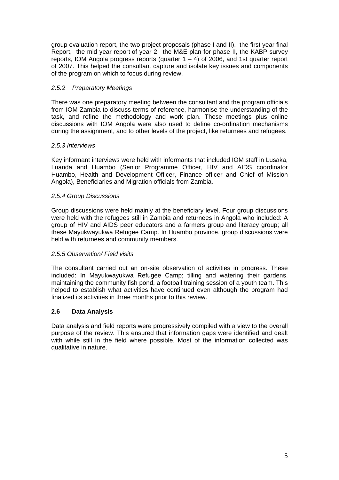group evaluation report, the two project proposals (phase I and II), the first year final Report, the mid year report of year 2, the M&E plan for phase II, the KABP survey reports, IOM Angola progress reports (quarter  $1 - 4$ ) of 2006, and 1st quarter report of 2007. This helped the consultant capture and isolate key issues and components of the program on which to focus during review.

### *2.5.2 Preparatory Meetings*

There was one preparatory meeting between the consultant and the program officials from IOM Zambia to discuss terms of reference, harmonise the understanding of the task, and refine the methodology and work plan. These meetings plus online discussions with IOM Angola were also used to define co-ordination mechanisms during the assignment, and to other levels of the project, like returnees and refugees.

#### *2.5.3 Interviews*

Key informant interviews were held with informants that included IOM staff in Lusaka, Luanda and Huambo (Senior Programme Officer, HIV and AIDS coordinator Huambo, Health and Development Officer, Finance officer and Chief of Mission Angola), Beneficiaries and Migration officials from Zambia.

# *2.5.4 Group Discussions*

Group discussions were held mainly at the beneficiary level. Four group discussions were held with the refugees still in Zambia and returnees in Angola who included: A group of HIV and AIDS peer educators and a farmers group and literacy group; all these Mayukwayukwa Refugee Camp. In Huambo province, group discussions were held with returnees and community members.

#### *2.5.5 Observation/ Field visits*

The consultant carried out an on-site observation of activities in progress. These included: In Mayukwayukwa Refugee Camp; tilling and watering their gardens, maintaining the community fish pond, a football training session of a youth team. This helped to establish what activities have continued even although the program had finalized its activities in three months prior to this review.

# **2.6 Data Analysis**

Data analysis and field reports were progressively compiled with a view to the overall purpose of the review. This ensured that information gaps were identified and dealt with while still in the field where possible. Most of the information collected was qualitative in nature.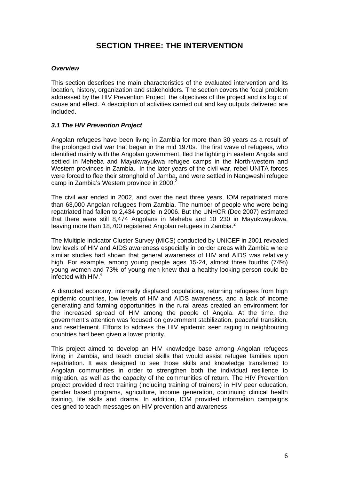# **SECTION THREE: THE INTERVENTION**

#### <span id="page-14-0"></span>*Overview*

This section describes the main characteristics of the evaluated intervention and its location, history, organization and stakeholders. The section covers the focal problem addressed by the HIV Prevention Project, the objectives of the project and its logic of cause and effect. A description of activities carried out and key outputs delivered are included.

#### *3.1 The HIV Prevention Project*

Angolan refugees have been living in Zambia for more than 30 years as a result of the prolonged civil war that began in the mid 1970s. The first wave of refugees, who identified mainly with the Angolan government, fled the fighting in eastern Angola and settled in Meheba and Mayukwayukwa refugee camps in the North-western and Western provinces in Zambia. In the later years of the civil war, rebel UNITA forces were forced to flee their stronghold of Jamba, and were settled in Nangweshi refugee camp in Zambia's Western province in 2000.<sup>2</sup>

The civil war ended in 2002, and over the next three years, IOM repatriated more than 63,000 Angolan refugees from Zambia. The number of people who were being repatriated had fallen to 2,434 people in 2006. But the UNHCR (Dec 2007) estimated that there were still 8,474 Angolans in Meheba and 10 230 in Mayukwayukwa, leaving more than 18,700 registered Angolan refugees in Zambia.<sup>2</sup>

The Multiple Indicator Cluster Survey (MICS) conducted by UNICEF in 2001 revealed low levels of HIV and AIDS awareness especially in border areas with Zambia where similar studies had shown that general awareness of HIV and AIDS was relatively high. For example, among young people ages 15-24, almost three fourths (74%) young women and 73% of young men knew that a healthy looking person could be infected with HIV.<sup>[6](#page-41-2)</sup>

A disrupted economy, internally displaced populations, returning refugees from high epidemic countries, low levels of HIV and AIDS awareness, and a lack of income generating and farming opportunities in the rural areas created an environment for the increased spread of HIV among the people of Angola. At the time, the government's attention was focused on government stabilization, peaceful transition, and resettlement. Efforts to address the HIV epidemic seen raging in neighbouring countries had been given a lower priority.

This project aimed to develop an HIV knowledge base among Angolan refugees living in Zambia, and teach crucial skills that would assist refugee families upon repatriation. It was designed to see those skills and knowledge transferred to Angolan communities in order to strengthen both the individual resilience to migration, as well as the capacity of the communities of return. The HIV Prevention project provided direct training (including training of trainers) in HIV peer education, gender based programs, agriculture, income generation, continuing clinical health training, life skills and drama. In addition, IOM provided information campaigns designed to teach messages on HIV prevention and awareness.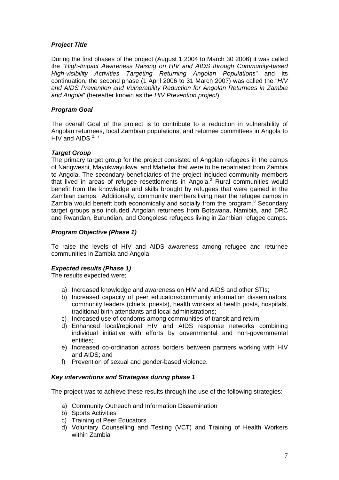### *Project Title*

During the first phases of the project (August 1 2004 to March 30 2006) it was called the "*High-Impact Awareness Raising on HIV and AIDS through Community-based High-visibility Activities Targeting Returning Angolan Populations*" and its continuation, the second phase (1 April 2006 to 31 March 2007) was called the "*HIV and AIDS Prevention and Vulnerability Reduction for Angolan Returnees in Zambia and Angola*" (hereafter known as the *HIV Prevention project*).

# *Program Goal*

The overall Goal of the project is to contribute to a reduction in vulnerability of Angolan returnees, local Zambian populations, and returnee committees in Angola to HIV and AIDS. $2, 7$  $2, 7$ 

#### *Target Group*

The primary target group for the project consisted of Angolan refugees in the camps of Nangweshi, Mayukwayukwa, and Maheba that were to be repatriated from Zambia to Angola. The secondary beneficiaries of the project included community members that lived in areas of refugee resettlements in Angola.<sup>2</sup> Rural communities would benefit from the knowledge and skills brought by refugees that were gained in the Zambian camps. Additionally, community members living near the refugee camps in Zambia would benefit both economically and socially from the program.<sup>8</sup> Secondary target groups also included Angolan returnees from Botswana, Namibia, and DRC and Rwandan, Burundian, and Congolese refugees living in Zambian refugee camps.

# *Program Objective (Phase 1)*

To raise the levels of HIV and AIDS awareness among refugee and returnee communities in Zambia and Angola

#### *Expected results (Phase 1)*

The results expected were;

- a) Increased knowledge and awareness on HIV and AIDS and other STIs;
- b) Increased capacity of peer educators/community information disseminators, community leaders (chiefs, priests), health workers at health posts, hospitals, traditional birth attendants and local administrations;
- c) Increased use of condoms among communities of transit and return;
- d) Enhanced local/regional HIV and AIDS response networks combining individual initiative with efforts by governmental and non-governmental entities;
- e) Increased co-ordination across borders between partners working with HIV and AIDS; and
- f) Prevention of sexual and gender-based violence.

#### *Key interventions and Strategies during phase 1*

The project was to achieve these results through the use of the following strategies:

- a) Community Outreach and Information Dissemination
- b) Sports Activities
- c) Training of Peer Educators
- d) Voluntary Counselling and Testing (VCT) and Training of Health Workers within Zambia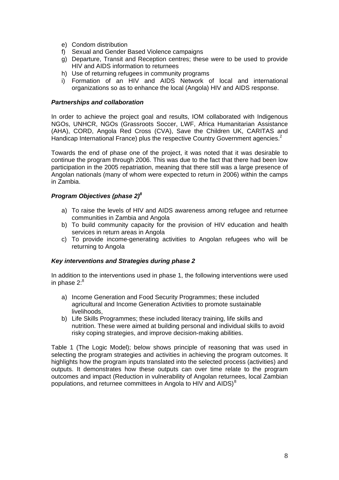- e) Condom distribution
- f) Sexual and Gender Based Violence campaigns
- g) Departure, Transit and Reception centres; these were to be used to provide HIV and AIDS information to returnees
- h) Use of returning refugees in community programs
- i) Formation of an HIV and AIDS Network of local and international organizations so as to enhance the local (Angola) HIV and AIDS response.

#### *Partnerships and collaboration*

In order to achieve the project goal and results, IOM collaborated with Indigenous NGOs, UNHCR, NGOs (Grassroots Soccer, LWF, Africa Humanitarian Assistance (AHA), CORD, Angola Red Cross (CVA), Save the Children UK, CARITAS and Handicap International France) plus the respective Country Government agencies.<sup>2</sup>

Towards the end of phase one of the project, it was noted that it was desirable to continue the program through 2006. This was due to the fact that there had been low participation in the 2005 repatriation, meaning that there still was a large presence of Angolan nationals (many of whom were expected to return in 2006) within the camps in Zambia.

#### *Program Objectives (phase 2)8*

- a) To raise the levels of HIV and AIDS awareness among refugee and returnee communities in Zambia and Angola
- b) To build community capacity for the provision of HIV education and health services in return areas in Angola
- c) To provide income-generating activities to Angolan refugees who will be returning to Angola

#### *Key interventions and Strategies during phase 2*

In addition to the interventions used in phase 1, the following interventions were used in phase  $2.^8$ 

- a) Income Generation and Food Security Programmes; these included agricultural and Income Generation Activities to promote sustainable livelihoods,
- b) Life Skills Programmes; these included literacy training, life skills and nutrition. These were aimed at building personal and individual skills to avoid risky coping strategies, and improve decision-making abilities.

Table 1 (The Logic Model); below shows principle of reasoning that was used in selecting the program strategies and activities in achieving the program outcomes. It highlights how the program inputs translated into the selected process (activities) and outputs. It demonstrates how these outputs can over time relate to the program outcomes and impact (Reduction in vulnerability of Angolan returnees, local Zambian populations, and returnee committees in Angola to HIV and AIDS)<sup>[8](#page-41-2)</sup>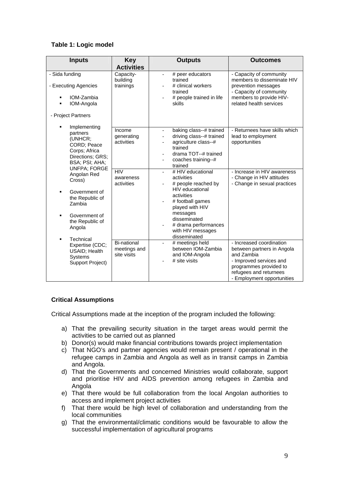# <span id="page-17-0"></span>**Table 1: Logic model**

| <b>Inputs</b>                                                                                                                                    | <b>Key</b><br><b>Activities</b>                   | <b>Outputs</b>                                                                                                                                                                                                                                             | <b>Outcomes</b>                                                                                                                                                                   |
|--------------------------------------------------------------------------------------------------------------------------------------------------|---------------------------------------------------|------------------------------------------------------------------------------------------------------------------------------------------------------------------------------------------------------------------------------------------------------------|-----------------------------------------------------------------------------------------------------------------------------------------------------------------------------------|
| - Sida funding<br>- Executing Agencies<br>IOM-Zambia<br>IOM-Angola<br>$\blacksquare$<br>- Project Partners                                       | Capacity-<br>building<br>trainings                | # peer educators<br>$\blacksquare$<br>trained<br># clinical workers<br>$\overline{\phantom{a}}$<br>trained<br># people trained in life<br>skills                                                                                                           | - Capacity of community<br>members to disseminate HIV<br>prevention messages<br>- Capacity of community<br>members to provide HIV-<br>related health services                     |
| Implementing<br>partners<br>(UNHCR;<br>CORD; Peace<br>Corps; Africa<br>Directions; GRS;<br>BSA; PSI; AHA;<br><b>UNFPA; FORGE</b>                 | Income<br>generating<br>activities                | baking class--# trained<br>$\overline{\phantom{a}}$<br>driving class--# trained<br>agriculture class--#<br>trained<br>drama TOT--# trained<br>coaches training--#<br>trained                                                                               | - Returnees have skills which<br>lead to employment<br>opportunities                                                                                                              |
| Angolan Red<br>Cross)<br>Government of<br>the Republic of<br>Zambia<br>Government of<br>the Republic of<br>Angola<br>Technical<br>$\blacksquare$ | HIV<br>awareness<br>activities                    | # HIV educational<br>$\overline{\phantom{a}}$<br>activities<br># people reached by<br><b>HIV</b> educational<br>activities<br># football games<br>played with HIV<br>messages<br>disseminated<br># drama performances<br>with HIV messages<br>disseminated | - Increase in HIV awareness<br>- Change in HIV attitudes<br>- Change in sexual practices                                                                                          |
| Expertise (CDC;<br>USAID; Health<br><b>Systems</b><br>Support Project)                                                                           | <b>Bi-national</b><br>meetings and<br>site visits | # meetings held<br>$\overline{a}$<br>between IOM-Zambia<br>and IOM-Angola<br># site visits                                                                                                                                                                 | - Increased coordination<br>between partners in Angola<br>and Zambia<br>- Improved services and<br>programmes provided to<br>refugees and returnees<br>- Employment opportunities |

# **Critical Assumptions**

Critical Assumptions made at the inception of the program included the following:

- a) That the prevailing security situation in the target areas would permit the activities to be carried out as planned
- b) Donor(s) would make financial contributions towards project implementation
- c) That NGO's and partner agencies would remain present / operational in the refugee camps in Zambia and Angola as well as in transit camps in Zambia and Angola.
- d) That the Governments and concerned Ministries would collaborate, support and prioritise HIV and AIDS prevention among refugees in Zambia and Angola
- e) That there would be full collaboration from the local Angolan authorities to access and implement project activities
- f) That there would be high level of collaboration and understanding from the local communities
- g) That the environmental/climatic conditions would be favourable to allow the successful implementation of agricultural programs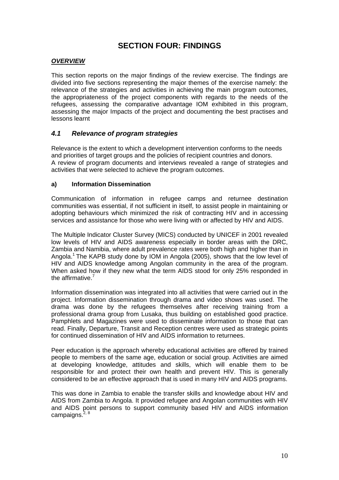# **SECTION FOUR: FINDINGS**

#### <span id="page-18-0"></span>*OVERVIEW*

This section reports on the major findings of the review exercise. The findings are divided into five sections representing the major themes of the exercise namely: the relevance of the strategies and activities in achieving the main program outcomes, the appropriateness of the project components with regards to the needs of the refugees, assessing the comparative advantage IOM exhibited in this program, assessing the major Impacts of the project and documenting the best practises and lessons learnt

# *4.1 Relevance of program strategies*

Relevance is the extent to which a development intervention conforms to the needs and priorities of target groups and the policies of recipient countries and donors. A review of program documents and interviews revealed a range of strategies and activities that were selected to achieve the program outcomes.

#### **a) Information Dissemination**

Communication of information in refugee camps and returnee destination communities was essential, if not sufficient in itself, to assist people in maintaining or adopting behaviours which minimized the risk of contracting HIV and in accessing services and assistance for those who were living with or affected by HIV and AIDS.

The Multiple Indicator Cluster Survey (MICS) conducted by UNICEF in 2001 revealed low levels of HIV and AIDS awareness especially in border areas with the DRC, Zambia and Namibia, where adult prevalence rates were both high and higher than in Angola.1 The KAPB study done by IOM in Angola (2005), shows that the low level of HIV and AIDS knowledge among Angolan community in the area of the program. When asked how if they new what the term AIDS stood for only 25% responded in the affirmative.<sup>7</sup>

Information dissemination was integrated into all activities that were carried out in the project. Information dissemination through drama and video shows was used. The drama was done by the refugees themselves after receiving training from a professional drama group from Lusaka, thus building on established good practice. Pamphlets and Magazines were used to disseminate information to those that can read. Finally, Departure, Transit and Reception centres were used as strategic points for continued dissemination of HIV and AIDS information to returnees.

Peer education is the approach whereby educational activities are offered by trained people to members of the same age, education or social group. Activities are aimed at developing knowledge, attitudes and skills, which will enable them to be responsible for and protect their own health and prevent HIV. This is generally considered to be an effective approach that is used in many HIV and AIDS programs.

This was done in Zambia to enable the transfer skills and knowledge about HIV and AIDS from Zambia to Angola. It provided refugee and Angolan communities with HIV and AIDS point persons to support community based HIV and AIDS information campaigns. $2, 8$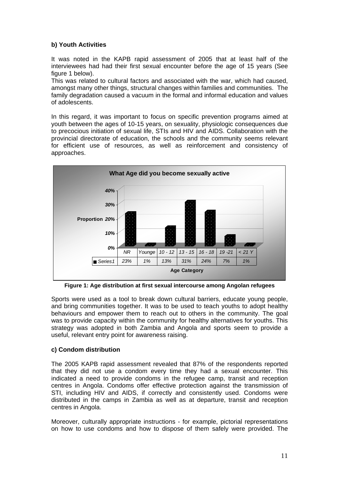# <span id="page-19-0"></span>**b) Youth Activities**

It was noted in the KAPB rapid assessment of 2005 that at least half of the interviewees had had their first sexual encounter before the age of 15 years (See figure 1 below).

This was related to cultural factors and associated with the war, which had caused, amongst many other things, structural changes within families and communities. The family degradation caused a vacuum in the formal and informal education and values of adolescents.

In this regard, it was important to focus on specific prevention programs aimed at youth between the ages of 10-15 years, on sexuality, physiologic consequences due to precocious initiation of sexual life, STIs and HIV and AIDS. Collaboration with the provincial directorate of education, the schools and the community seems relevant for efficient use of resources, as well as reinforcement and consistency of approaches.



**Figure 1: Age distribution at first sexual intercourse among Angolan refugees** 

Sports were used as a tool to break down cultural barriers, educate young people, and bring communities together. It was to be used to teach youths to adopt healthy behaviours and empower them to reach out to others in the community. The goal was to provide capacity within the community for healthy alternatives for youths. This strategy was adopted in both Zambia and Angola and sports seem to provide a useful, relevant entry point for awareness raising.

# **c) Condom distribution**

The 2005 KAPB rapid assessment revealed that 87% of the respondents reported that they did not use a condom every time they had a sexual encounter. This indicated a need to provide condoms in the refugee camp, transit and reception centres in Angola. Condoms offer effective protection against the transmission of STI, including HIV and AIDS, if correctly and consistently used. Condoms were distributed in the camps in Zambia as well as at departure, transit and reception centres in Angola.

Moreover, culturally appropriate instructions - for example, pictorial representations on how to use condoms and how to dispose of them safely were provided. The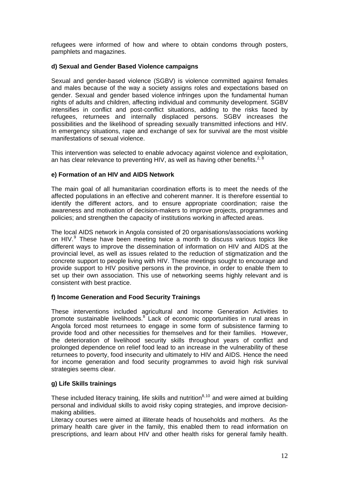refugees were informed of how and where to obtain condoms through posters, pamphlets and magazines.

#### **d) Sexual and Gender Based Violence campaigns**

Sexual and gender-based violence (SGBV) is violence committed against females and males because of the way a society assigns roles and expectations based on gender. Sexual and gender based violence infringes upon the fundamental human rights of adults and children, affecting individual and community development. SGBV intensifies in conflict and post-conflict situations, adding to the risks faced by refugees, returnees and internally displaced persons. SGBV increases the possibilities and the likelihood of spreading sexually transmitted infections and HIV. In emergency situations, rape and exchange of sex for survival are the most visible manifestations of sexual violence.

This intervention was selected to enable advocacy against violence and exploitation, an has clear relevance to preventing HIV, as well as having other benefits.<sup>2, 8</sup>

# **e) Formation of an HIV and AIDS Network**

The main goal of all humanitarian coordination efforts is to meet the needs of the affected populations in an effective and coherent manner. It is therefore essential to identify the different actors, and to ensure appropriate coordination; raise the awareness and motivation of decision-makers to improve projects, programmes and policies; and strengthen the capacity of institutions working in affected areas.

The local AIDS network in Angola consisted of 20 organisations/associations working on HIV.<sup>[9](#page-41-2)</sup> These have been meeting twice a month to discuss various topics like different ways to improve the dissemination of information on HIV and AIDS at the provincial level, as well as issues related to the reduction of stigmatization and the concrete support to people living with HIV. These meetings sought to encourage and provide support to HIV positive persons in the province, in order to enable them to set up their own association. This use of networking seems highly relevant and is consistent with best practice.

# **f) Income Generation and Food Security Trainings**

These interventions included agricultural and Income Generation Activities to promote sustainable livelihoods.<sup>8</sup> Lack of economic opportunities in rural areas in Angola forced most returnees to engage in some form of subsistence farming to provide food and other necessities for themselves and for their families. However, the deterioration of livelihood security skills throughout years of conflict and prolonged dependence on relief food lead to an increase in the vulnerability of these returnees to poverty, food insecurity and ultimately to HIV and AIDS. Hence the need for income generation and food security programmes to avoid high risk survival strategies seems clear.

#### **g) Life Skills trainings**

These included literacy training, life skills and nutrition<sup>8,[10](#page-41-2)</sup> and were aimed at building personal and individual skills to avoid risky coping strategies, and improve decisionmaking abilities.

Literacy courses were aimed at illiterate heads of households and mothers. As the primary health care giver in the family, this enabled them to read information on prescriptions, and learn about HIV and other health risks for general family health.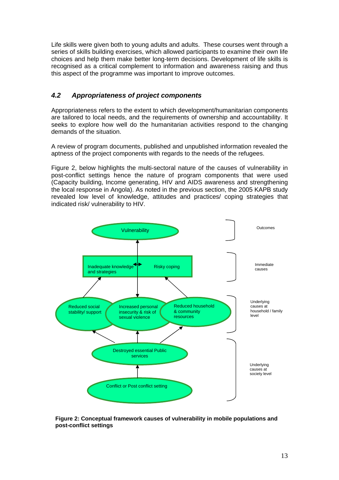<span id="page-21-0"></span>Life skills were given both to young adults and adults. These courses went through a series of skills building exercises, which allowed participants to examine their own life choices and help them make better long-term decisions. Development of life skills is recognised as a critical complement to information and awareness raising and thus this aspect of the programme was important to improve outcomes.

# *4.2 Appropriateness of project components*

Appropriateness refers to the extent to which development/humanitarian components are tailored to local needs, and the requirements of ownership and accountability. It seeks to explore how well do the humanitarian activities respond to the changing demands of the situation.

A review of program documents, published and unpublished information revealed the aptness of the project components with regards to the needs of the refugees.

Figure 2, below highlights the multi-sectoral nature of the causes of vulnerability in post-conflict settings hence the nature of program components that were used (Capacity building, Income generating, HIV and AIDS awareness and strengthening the local response in Angola). As noted in the previous section, the 2005 KAPB study revealed low level of knowledge, attitudes and practices/ coping strategies that indicated risk/ vulnerability to HIV.



**Figure 2: Conceptual framework causes of vulnerability in mobile populations and post-conflict settings**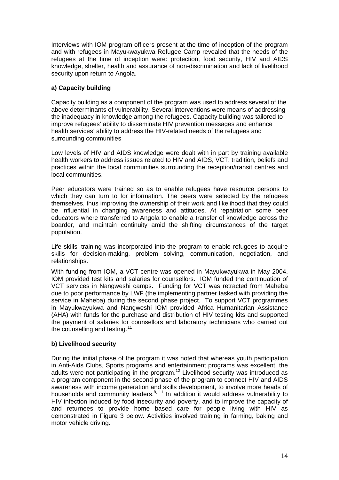Interviews with IOM program officers present at the time of inception of the program and with refugees in Mayukwayukwa Refugee Camp revealed that the needs of the refugees at the time of inception were: protection, food security, HIV and AIDS knowledge, shelter, health and assurance of non-discrimination and lack of livelihood security upon return to Angola.

# **a) Capacity building**

Capacity building as a component of the program was used to address several of the above determinants of vulnerability. Several interventions were means of addressing the inadequacy in knowledge among the refugees. Capacity building was tailored to improve refugees' ability to disseminate HIV prevention messages and enhance health services' ability to address the HIV-related needs of the refugees and surrounding communities

Low levels of HIV and AIDS knowledge were dealt with in part by training available health workers to address issues related to HIV and AIDS, VCT, tradition, beliefs and practices within the local communities surrounding the reception/transit centres and local communities.

Peer educators were trained so as to enable refugees have resource persons to which they can turn to for information. The peers were selected by the refugees themselves, thus improving the ownership of their work and likelihood that they could be influential in changing awareness and attitudes. At repatriation some peer educators where transferred to Angola to enable a transfer of knowledge across the boarder, and maintain continuity amid the shifting circumstances of the target population.

Life skills' training was incorporated into the program to enable refugees to acquire skills for decision-making, problem solving, communication, negotiation, and relationships.

With funding from IOM, a VCT centre was opened in Mayukwayukwa in May 2004. IOM provided test kits and salaries for counsellors. IOM funded the continuation of VCT services in Nangweshi camps. Funding for VCT was retracted from Maheba due to poor performance by LWF (the implementing partner tasked with providing the service in Maheba) during the second phase project. To support VCT programmes in Mayukwayukwa and Nangweshi IOM provided Africa Humanitarian Assistance (AHA) with funds for the purchase and distribution of HIV testing kits and supported the payment of salaries for counsellors and laboratory technicians who carried out the counselling and testing.<sup>[11](#page-41-2)</sup>

#### **b) Livelihood security**

During the initial phase of the program it was noted that whereas youth participation in Anti-Aids Clubs, Sports programs and entertainment programs was excellent, the adults were not participating in the program.<sup>12</sup> Livelihood security was introduced as a program component in the second phase of the program to connect HIV and AIDS awareness with income generation and skills development, to involve more heads of households and community leaders.<sup>8, 11</sup> In addition it would address vulnerability to HIV infection induced by food insecurity and poverty, and to improve the capacity of and returnees to provide home based care for people living with HIV as demonstrated in Figure 3 below. Activities involved training in farming, baking and motor vehicle driving.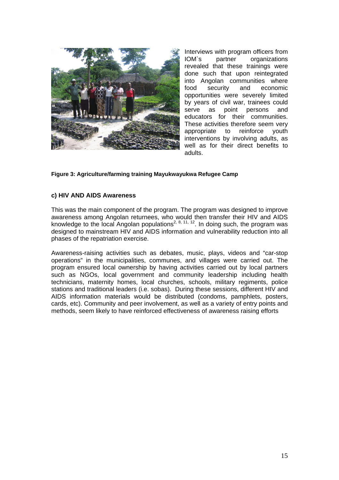<span id="page-23-0"></span>

Interviews with program officers from IOM`s partner organizations revealed that these trainings were done such that upon reintegrated into Angolan communities where food security and economic opportunities were severely limited by years of civil war, trainees could serve as point persons and educators for their communities. These activities therefore seem very appropriate to reinforce youth interventions by involving adults, as well as for their direct benefits to adults.

#### **Figure 3: Agriculture/farming training Mayukwayukwa Refugee Camp**

#### **c) HIV AND AIDS Awareness**

This was the main component of the program. The program was designed to improve awareness among Angolan returnees, who would then transfer their HIV and AIDS knowledge to the local Angolan populations<sup>2, 8, 11, 12</sup>. In doing such, the program was designed to mainstream HIV and AIDS information and vulnerability reduction into all phases of the repatriation exercise.

Awareness-raising activities such as debates, music, plays, videos and "car-stop operations" in the municipalities, communes, and villages were carried out. The program ensured local ownership by having activities carried out by local partners such as NGOs, local government and community leadership including health technicians, maternity homes, local churches, schools, military regiments, police stations and traditional leaders (i.e. sobas). During these sessions, different HIV and AIDS information materials would be distributed (condoms, pamphlets, posters, cards, etc). Community and peer involvement, as well as a variety of entry points and methods, seem likely to have reinforced effectiveness of awareness raising efforts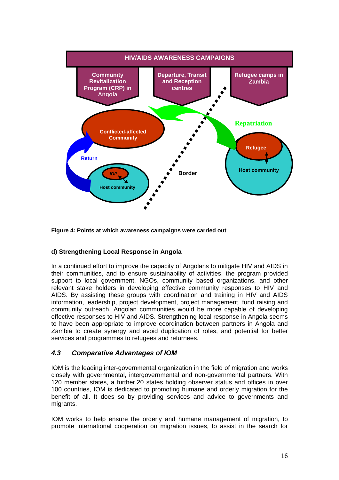<span id="page-24-0"></span>

**Figure 4: Points at which awareness campaigns were carried out** 

# **d) Strengthening Local Response in Angola**

In a continued effort to improve the capacity of Angolans to mitigate HIV and AIDS in their communities, and to ensure sustainability of activities, the program provided support to local government, NGOs, community based organizations, and other relevant stake holders in developing effective community responses to HIV and AIDS. By assisting these groups with coordination and training in HIV and AIDS information, leadership, project development, project management, fund raising and community outreach, Angolan communities would be more capable of developing effective responses to HIV and AIDS. Strengthening local response in Angola seems to have been appropriate to improve coordination between partners in Angola and Zambia to create synergy and avoid duplication of roles, and potential for better services and programmes to refugees and returnees.

# *4.3 Comparative Advantages of IOM*

IOM is the leading inter-governmental organization in the field of migration and works closely with governmental, intergovernmental and non-governmental partners. With 120 member states, a further 20 states holding observer status and offices in over 100 countries, IOM is dedicated to promoting humane and orderly migration for the benefit of all. It does so by providing services and advice to governments and migrants.

IOM works to help ensure the orderly and humane management of migration, to promote international cooperation on migration issues, to assist in the search for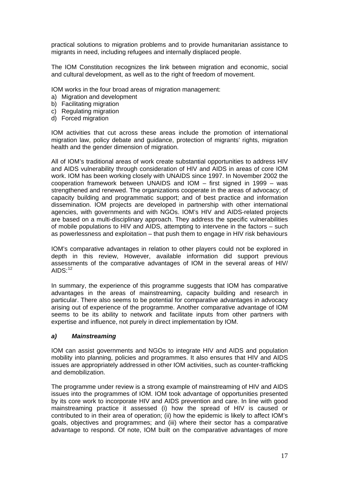practical solutions to migration problems and to provide humanitarian assistance to migrants in need, including refugees and internally displaced people.

The IOM Constitution recognizes the link between migration and economic, social and cultural development, as well as to the right of freedom of movement.

IOM works in the four broad areas of migration management:

- a) Migration and development
- b) Facilitating migration
- c) Regulating migration
- d) Forced migration

IOM activities that cut across these areas include the promotion of international migration law, policy debate and guidance, protection of migrants' rights, migration health and the gender dimension of migration.

All of IOM's traditional areas of work create substantial opportunities to address HIV and AIDS vulnerability through consideration of HIV and AIDS in areas of core IOM work. IOM has been working closely with UNAIDS since 1997. In November 2002 the cooperation framework between UNAIDS and IOM – first signed in 1999 – was strengthened and renewed. The organizations cooperate in the areas of advocacy; of capacity building and programmatic support; and of best practice and information dissemination. IOM projects are developed in partnership with other international agencies, with governments and with NGOs. IOM's HIV and AIDS-related projects are based on a multi-disciplinary approach. They address the specific vulnerabilities of mobile populations to HIV and AIDS, attempting to intervene in the factors – such as powerlessness and exploitation – that push them to engage in HIV risk behaviours

IOM's comparative advantages in relation to other players could not be explored in depth in this review, However, available information did support previous assessments of the comparative advantages of IOM in the several areas of HIV/  $AIDS<sup>.12</sup>$  $AIDS<sup>.12</sup>$  $AIDS<sup>.12</sup>$ 

In summary, the experience of this programme suggests that IOM has comparative advantages in the areas of mainstreaming, capacity building and research in particular. There also seems to be potential for comparative advantages in advocacy arising out of experience of the programme. Another comparative advantage of IOM seems to be its ability to network and facilitate inputs from other partners with expertise and influence, not purely in direct implementation by IOM.

#### *a) Mainstreaming*

IOM can assist governments and NGOs to integrate HIV and AIDS and population mobility into planning, policies and programmes. It also ensures that HIV and AIDS issues are appropriately addressed in other IOM activities, such as counter-trafficking and demobilization.

The programme under review is a strong example of mainstreaming of HIV and AIDS issues into the programmes of IOM. IOM took advantage of opportunities presented by its core work to incorporate HIV and AIDS prevention and care. In line with good mainstreaming practice it assessed (i) how the spread of HIV is caused or contributed to in their area of operation; (ii) how the epidemic is likely to affect IOM's goals, objectives and programmes; and (iii) where their sector has a comparative advantage to respond. Of note, IOM built on the comparative advantages of more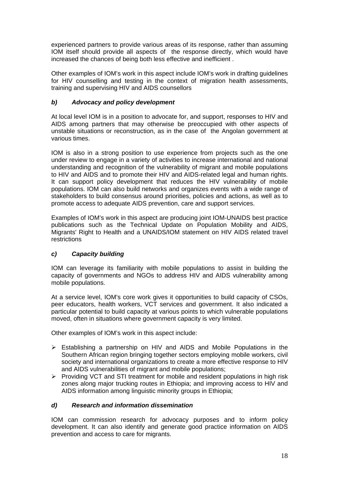experienced partners to provide various areas of its response, rather than assuming IOM itself should provide all aspects of the response directly, which would have increased the chances of being both less effective and inefficient .

Other examples of IOM's work in this aspect include IOM's work in drafting guidelines for HIV counselling and testing in the context of migration health assessments, training and supervising HIV and AIDS counsellors

# *b) Advocacy and policy development*

At local level IOM is in a position to advocate for, and support, responses to HIV and AIDS among partners that may otherwise be preoccupied with other aspects of unstable situations or reconstruction, as in the case of the Angolan government at various times.

IOM is also in a strong position to use experience from projects such as the one under review to engage in a variety of activities to increase international and national understanding and recognition of the vulnerability of migrant and mobile populations to HIV and AIDS and to promote their HIV and AIDS-related legal and human rights. It can support policy development that reduces the HIV vulnerability of mobile populations. IOM can also build networks and organizes events with a wide range of stakeholders to build consensus around priorities, policies and actions, as well as to promote access to adequate AIDS prevention, care and support services.

Examples of IOM's work in this aspect are producing joint IOM-UNAIDS best practice publications such as the Technical Update on Population Mobility and AIDS, Migrants' Right to Health and a UNAIDS/IOM statement on HIV AIDS related travel restrictions

# *c) Capacity building*

IOM can leverage its familiarity with mobile populations to assist in building the capacity of governments and NGOs to address HIV and AIDS vulnerability among mobile populations.

At a service level, IOM's core work gives it opportunities to build capacity of CSOs, peer educators, health workers, VCT services and government. It also indicated a particular potential to build capacity at various points to which vulnerable populations moved, often in situations where government capacity is very limited.

Other examples of IOM's work in this aspect include:

- $\triangleright$  Establishing a partnership on HIV and AIDS and Mobile Populations in the Southern African region bringing together sectors employing mobile workers, civil society and international organizations to create a more effective response to HIV and AIDS vulnerabilities of migrant and mobile populations;
- $\triangleright$  Providing VCT and STI treatment for mobile and resident populations in high risk zones along major trucking routes in Ethiopia; and improving access to HIV and AIDS information among linguistic minority groups in Ethiopia;

#### *d) Research and information dissemination*

IOM can commission research for advocacy purposes and to inform policy development. It can also identify and generate good practice information on AIDS prevention and access to care for migrants.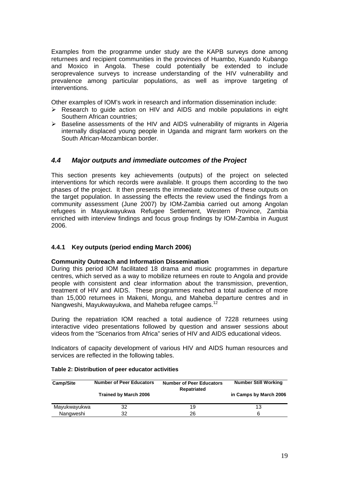<span id="page-27-0"></span>Examples from the programme under study are the KAPB surveys done among returnees and recipient communities in the provinces of Huambo, Kuando Kubango and Moxico in Angola. These could potentially be extended to include seroprevalence surveys to increase understanding of the HIV vulnerability and prevalence among particular populations, as well as improve targeting of interventions.

Other examples of IOM's work in research and information dissemination include:

- $\triangleright$  Research to quide action on HIV and AIDS and mobile populations in eight Southern African countries;
- $\triangleright$  Baseline assessments of the HIV and AIDS vulnerability of migrants in Algeria internally displaced young people in Uganda and migrant farm workers on the South African-Mozambican border.

# *4.4 Major outputs and immediate outcomes of the Project*

This section presents key achievements (outputs) of the project on selected interventions for which records were available. It groups them according to the two phases of the project. It then presents the immediate outcomes of these outputs on the target population. In assessing the effects the review used the findings from a community assessment (June 2007) by IOM-Zambia carried out among Angolan refugees in Mayukwayukwa Refugee Settlement, Western Province, Zambia enriched with interview findings and focus group findings by IOM-Zambia in August 2006.

# **4.4.1 Key outputs (period ending March 2006)**

#### **Community Outreach and Information Dissemination**

During this period IOM facilitated 18 drama and music programmes in departure centres, which served as a way to mobilize returnees en route to Angola and provide people with consistent and clear information about the transmission, prevention, treatment of HIV and AIDS. These programmes reached a total audience of more than 15,000 returnees in Makeni, Mongu, and Maheba departure centres and in Nangweshi, Mayukwayukwa, and Maheba refugee camps.<sup>12</sup>

During the repatriation IOM reached a total audience of 7228 returnees using interactive video presentations followed by question and answer sessions about videos from the "Scenarios from Africa" series of HIV and AIDS educational videos.

Indicators of capacity development of various HIV and AIDS human resources and services are reflected in the following tables.

| <b>Number of Peer Educators</b><br><b>Camp/Site</b> |                              | <b>Number of Peer Educators</b><br>Repatriated | <b>Number Still Working</b> |
|-----------------------------------------------------|------------------------------|------------------------------------------------|-----------------------------|
|                                                     | <b>Trained by March 2006</b> |                                                | in Camps by March 2006      |
| Mayukwayukwa                                        | 32                           | 19                                             | 13                          |
| Nangweshi                                           | 32                           | 26                                             |                             |

#### **Table 2: Distribution of peer educator activities**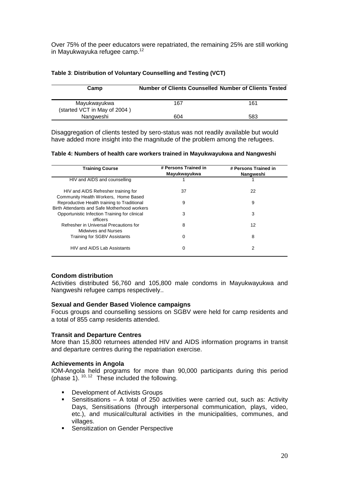<span id="page-28-0"></span>Over 75% of the peer educators were repatriated, the remaining 25% are still working in Mayukwayuka refugee camp.<sup>12</sup>

| Camp                         | <b>Number of Clients Counselled Number of Clients Tested</b> |     |
|------------------------------|--------------------------------------------------------------|-----|
|                              |                                                              |     |
| Mayukwayukwa                 | 167                                                          | 161 |
| (started VCT in May of 2004) |                                                              |     |
| Nangweshi                    | 604                                                          | 583 |

#### **Table 3**: **Distribution of Voluntary Counselling and Testing (VCT)**

Disaggregation of clients tested by sero-status was not readily available but would have added more insight into the magnitude of the problem among the refugees.

#### **Table 4: Numbers of health care workers trained in Mayukwayukwa and Nangweshi**

| <b>Training Course</b>                                                                      | # Persons Trained in<br>Mayukwayukwa | # Persons Trained in<br>Nangweshi |
|---------------------------------------------------------------------------------------------|--------------------------------------|-----------------------------------|
| HIV and AIDS and counselling                                                                |                                      |                                   |
| HIV and AIDS Refresher training for<br>Community Health Workers, Home Based                 | 37                                   | 22                                |
| Reproductive Health training to Traditional<br>Birth Attendants and Safe Motherhood workers | 9                                    | 9                                 |
| Opportunistic Infection Training for clinical<br>officers                                   | 3                                    | 3                                 |
| Refresher in Universal Precautions for<br>Midwives and Nurses                               | 8                                    | 12                                |
| Training for SGBV Assistants                                                                | 0                                    | 8                                 |
| HIV and AIDS Lab Assistants                                                                 | 0                                    | 2                                 |

#### **Condom distribution**

Activities distributed 56,760 and 105,800 male condoms in Mayukwayukwa and Nangweshi refugee camps respectively..

#### **Sexual and Gender Based Violence campaigns**

Focus groups and counselling sessions on SGBV were held for camp residents and a total of 855 camp residents attended.

#### **Transit and Departure Centres**

More than 15,800 returnees attended HIV and AIDS information programs in transit and departure centres during the repatriation exercise.

#### **Achievements in Angola**

IOM-Angola held programs for more than 90,000 participants during this period (phase 1). 10, 12 These included the following.

- Development of Activists Groups
- Sensitisations A total of 250 activities were carried out, such as: Activity Days, Sensitisations (through interpersonal communication, plays, video, etc.), and musical/cultural activities in the municipalities, communes, and villages.
- **Sensitization on Gender Perspective**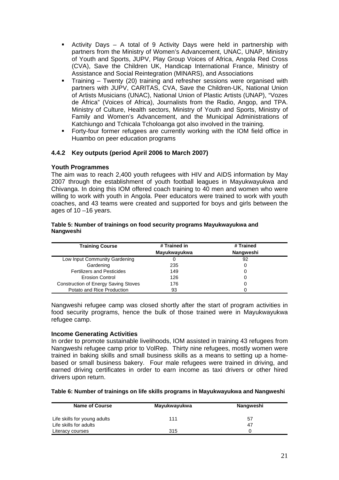- <span id="page-29-0"></span> Activity Days – A total of 9 Activity Days were held in partnership with partners from the Ministry of Women's Advancement, UNAC, UNAP, Ministry of Youth and Sports, JUPV, Play Group Voices of Africa, Angola Red Cross (CVA), Save the Children UK, Handicap International France, Ministry of Assistance and Social Reintegration (MINARS), and Associations
- Training Twenty (20) training and refresher sessions were organised with partners with JUPV, CARITAS, CVA, Save the Children-UK, National Union of Artists Musicians (UNAC), National Union of Plastic Artists (UNAP), "Vozes de África" (Voices of Africa), Journalists from the Radio, Angop, and TPA. Ministry of Culture, Health sectors, Ministry of Youth and Sports, Ministry of Family and Women's Advancement, and the Municipal Administrations of Katchiungo and Tchicala Tcholoanga got also involved in the training.
- Forty-four former refugees are currently working with the IOM field office in Huambo on peer education programs

# **4.4.2 Key outputs (period April 2006 to March 2007)**

#### **Youth Programmes**

The aim was to reach 2,400 youth refugees with HIV and AIDS information by May 2007 through the establishment of youth football leagues in Mayukwayukwa and Chivanga. In doing this IOM offered coach training to 40 men and women who were willing to work with youth in Angola. Peer educators were trained to work with youth coaches, and 43 teams were created and supported for boys and girls between the ages of 10 –16 years.

#### **Table 5: Number of trainings on food security programs Mayukwayukwa and Nangweshi**

| <b>Training Course</b>                      | # Trained in | # Trained |
|---------------------------------------------|--------------|-----------|
|                                             | Mayukwayukwa | Nangweshi |
| Low Input Community Gardening               |              | 92        |
| Gardening                                   | 235          |           |
| <b>Fertilizers and Pesticides</b>           | 149          |           |
| <b>Erosion Control</b>                      | 126          |           |
| <b>Construction of Energy Saving Stoves</b> | 176          |           |
| Potato and Rice Production                  | 93           |           |

Nangweshi refugee camp was closed shortly after the start of program activities in food security programs, hence the bulk of those trained were in Mayukwayukwa refugee camp.

#### **Income Generating Activities**

In order to promote sustainable livelihoods, IOM assisted in training 43 refugees from Nangweshi refugee camp prior to VolRep. Thirty nine refugees, mostly women were trained in baking skills and small business skills as a means to setting up a homebased or small business bakery. Four male refugees were trained in driving, and earned driving certificates in order to earn income as taxi drivers or other hired drivers upon return.

#### **Table 6: Number of trainings on life skills programs in Mayukwayukwa and Nangweshi**

| <b>Name of Course</b>        | Mayukwayukwa | Nangweshi |
|------------------------------|--------------|-----------|
| Life skills for young adults | 111          | 57        |
| Life skills for adults       |              | 47        |
| Literacy courses             | 315          |           |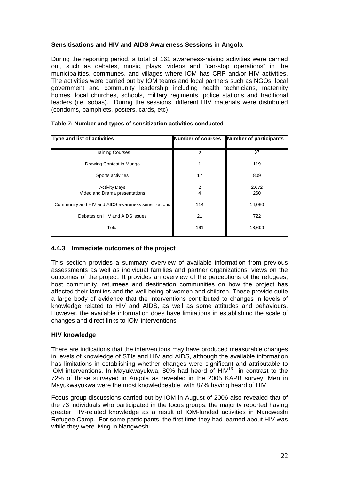### <span id="page-30-0"></span>**Sensitisations and HIV and AIDS Awareness Sessions in Angola**

During the reporting period, a total of 161 awareness-raising activities were carried out, such as debates, music, plays, videos and "car-stop operations" in the municipalities, communes, and villages where IOM has CRP and/or HIV activities. The activities were carried out by IOM teams and local partners such as NGOs, local government and community leadership including health technicians, maternity homes, local churches, schools, military regiments, police stations and traditional leaders (i.e. sobas). During the sessions, different HIV materials were distributed (condoms, pamphlets, posters, cards, etc).

| <b>Type and list of activities</b>                    | <b>Number of courses</b> | <b>Number of participants</b> |
|-------------------------------------------------------|--------------------------|-------------------------------|
| <b>Training Courses</b>                               | $\overline{2}$           | 37                            |
| Drawing Contest in Mungo                              |                          | 119                           |
| Sports activities                                     | 17                       | 809                           |
| <b>Activity Days</b><br>Video and Drama presentations | 2<br>4                   | 2,672<br>260                  |
| Community and HIV and AIDS awareness sensitizations   | 114                      | 14,080                        |
| Debates on HIV and AIDS issues                        | 21                       | 722                           |
| Total                                                 | 161                      | 18,699                        |

#### **Table 7: Number and types of sensitization activities conducted**

#### **4.4.3 Immediate outcomes of the project**

This section provides a summary overview of available information from previous assessments as well as individual families and partner organizations' views on the outcomes of the project. It provides an overview of the perceptions of the refugees, host community, returnees and destination communities on how the project has affected their families and the well being of women and children. These provide quite a large body of evidence that the interventions contributed to changes in levels of knowledge related to HIV and AIDS, as well as some attitudes and behaviours. However, the available information does have limitations in establishing the scale of changes and direct links to IOM interventions.

#### **HIV knowledge**

There are indications that the interventions may have produced measurable changes in levels of knowledge of STIs and HIV and AIDS, although the available information has limitations in establishing whether changes were significant and attributable to IOM interventions. In Mayukwayukwa, 80% had heard of  $HIV^{13}$  $HIV^{13}$  $HIV^{13}$  in contrast to the 72% of those surveyed in Angola as revealed in the 2005 KAPB survey. Men in Mayukwayukwa were the most knowledgeable, with 87% having heard of HIV.

Focus group discussions carried out by IOM in August of 2006 also revealed that of the 73 individuals who participated in the focus groups, the majority reported having greater HIV-related knowledge as a result of IOM-funded activities in Nangweshi Refugee Camp. For some participants, the first time they had learned about HIV was while they were living in Nangweshi.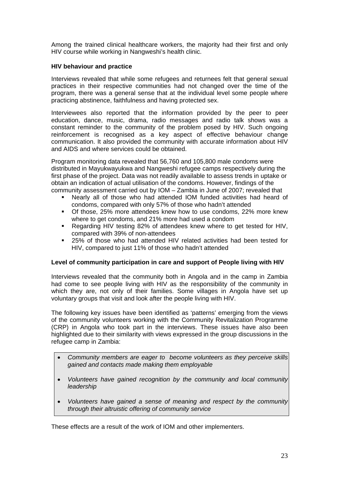Among the trained clinical healthcare workers, the majority had their first and only HIV course while working in Nangweshi's health clinic.

#### **HIV behaviour and practice**

Interviews revealed that while some refugees and returnees felt that general sexual practices in their respective communities had not changed over the time of the program, there was a general sense that at the individual level some people where practicing abstinence, faithfulness and having protected sex.

Interviewees also reported that the information provided by the peer to peer education, dance, music, drama, radio messages and radio talk shows was a constant reminder to the community of the problem posed by HIV. Such ongoing reinforcement is recognised as a key aspect of effective behaviour change communication. It also provided the community with accurate information about HIV and AIDS and where services could be obtained.

Program monitoring data revealed that 56,760 and 105,800 male condoms were distributed in Mayukwayukwa and Nangweshi refugee camps respectively during the first phase of the project. Data was not readily available to assess trends in uptake or obtain an indication of actual utilisation of the condoms. However, findings of the community assessment carried out by IOM – Zambia in June of 2007; revealed that

- Nearly all of those who had attended IOM funded activities had heard of condoms, compared with only 57% of those who hadn't attended
- Of those, 25% more attendees knew how to use condoms, 22% more knew where to get condoms, and 21% more had used a condom
- Regarding HIV testing 82% of attendees knew where to get tested for HIV, compared with 39% of non-attendees
- 25% of those who had attended HIV related activities had been tested for HIV, compared to just 11% of those who hadn't attended

#### **Level of community participation in care and support of People living with HIV**

Interviews revealed that the community both in Angola and in the camp in Zambia had come to see people living with HIV as the responsibility of the community in which they are, not only of their families. Some villages in Angola have set up voluntary groups that visit and look after the people living with HIV.

The following key issues have been identified as 'patterns' emerging from the views of the community volunteers working with the Community Revitalization Programme (CRP) in Angola who took part in the interviews. These issues have also been highlighted due to their similarity with views expressed in the group discussions in the refugee camp in Zambia:

- *Community members are eager to become volunteers as they perceive skills gained and contacts made making them employable*
- *Volunteers have gained recognition by the community and local community leadership*
- *Volunteers have gained a sense of meaning and respect by the community through their altruistic offering of community service*

These effects are a result of the work of IOM and other implementers.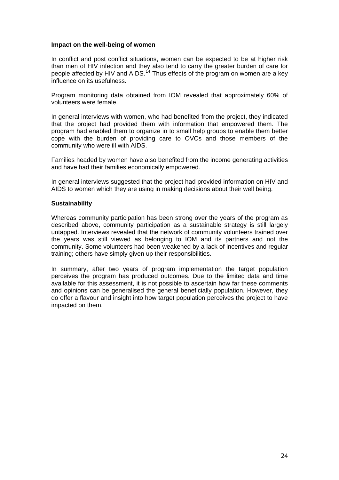#### **Impact on the well-being of women**

In conflict and post conflict situations, women can be expected to be at higher risk than men of HIV infection and they also tend to carry the greater burden of care for people affected by HIV and AIDS.<sup>[14](#page-41-2)</sup> Thus effects of the program on women are a key influence on its usefulness.

Program monitoring data obtained from IOM revealed that approximately 60% of volunteers were female.

In general interviews with women, who had benefited from the project, they indicated that the project had provided them with information that empowered them. The program had enabled them to organize in to small help groups to enable them better cope with the burden of providing care to OVCs and those members of the community who were ill with AIDS.

Families headed by women have also benefited from the income generating activities and have had their families economically empowered.

In general interviews suggested that the project had provided information on HIV and AIDS to women which they are using in making decisions about their well being.

#### **Sustainability**

Whereas community participation has been strong over the years of the program as described above, community participation as a sustainable strategy is still largely untapped. Interviews revealed that the network of community volunteers trained over the years was still viewed as belonging to IOM and its partners and not the community. Some volunteers had been weakened by a lack of incentives and regular training; others have simply given up their responsibilities.

In summary, after two years of program implementation the target population perceives the program has produced outcomes. Due to the limited data and time available for this assessment, it is not possible to ascertain how far these comments and opinions can be generalised the general beneficially population. However, they do offer a flavour and insight into how target population perceives the project to have impacted on them.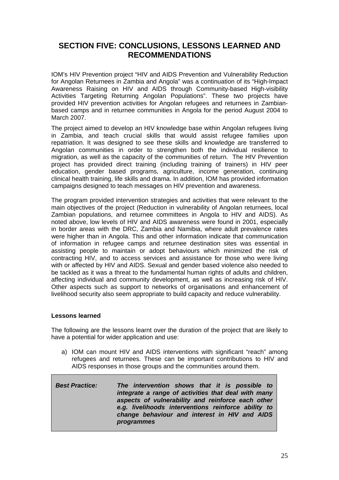# <span id="page-33-0"></span>**SECTION FIVE: CONCLUSIONS, LESSONS LEARNED AND RECOMMENDATIONS**

IOM's HIV Prevention project "HIV and AIDS Prevention and Vulnerability Reduction for Angolan Returnees in Zambia and Angola" was a continuation of its "High-Impact Awareness Raising on HIV and AIDS through Community-based High-visibility Activities Targeting Returning Angolan Populations". These two projects have provided HIV prevention activities for Angolan refugees and returnees in Zambianbased camps and in returnee communities in Angola for the period August 2004 to March 2007.

The project aimed to develop an HIV knowledge base within Angolan refugees living in Zambia, and teach crucial skills that would assist refugee families upon repatriation. It was designed to see these skills and knowledge are transferred to Angolan communities in order to strengthen both the individual resilience to migration, as well as the capacity of the communities of return. The HIV Prevention project has provided direct training (including training of trainers) in HIV peer education, gender based programs, agriculture, income generation, continuing clinical health training, life skills and drama. In addition, IOM has provided information campaigns designed to teach messages on HIV prevention and awareness.

The program provided intervention strategies and activities that were relevant to the main objectives of the project (Reduction in vulnerability of Angolan returnees, local Zambian populations, and returnee committees in Angola to HIV and AIDS). As noted above, low levels of HIV and AIDS awareness were found in 2001, especially in border areas with the DRC, Zambia and Namibia, where adult prevalence rates were higher than in Angola. This and other information indicate that communication of information in refugee camps and returnee destination sites was essential in assisting people to maintain or adopt behaviours which minimized the risk of contracting HIV, and to access services and assistance for those who were living with or affected by HIV and AIDS. Sexual and gender based violence also needed to be tackled as it was a threat to the fundamental human rights of adults and children, affecting individual and community development, as well as increasing risk of HIV. Other aspects such as support to networks of organisations and enhancement of livelihood security also seem appropriate to build capacity and reduce vulnerability.

#### **Lessons learned**

The following are the lessons learnt over the duration of the project that are likely to have a potential for wider application and use:

a) IOM can mount HIV and AIDS interventions with significant "reach" among refugees and returnees. These can be important contributions to HIV and AIDS responses in those groups and the communities around them.

| <b>Best Practice:</b><br>programmes | The intervention shows that it is possible to<br>integrate a range of activities that deal with many<br>aspects of vulnerability and reinforce each other<br>e.g. livelihoods interventions reinforce ability to<br>change behaviour and interest in HIV and AIDS |  |  |
|-------------------------------------|-------------------------------------------------------------------------------------------------------------------------------------------------------------------------------------------------------------------------------------------------------------------|--|--|
|-------------------------------------|-------------------------------------------------------------------------------------------------------------------------------------------------------------------------------------------------------------------------------------------------------------------|--|--|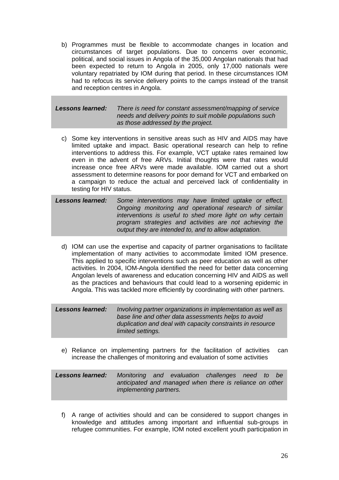b) Programmes must be flexible to accommodate changes in location and circumstances of target populations. Due to concerns over economic, political, and social issues in Angola of the 35,000 Angolan nationals that had been expected to return to Angola in 2005, only 17,000 nationals were voluntary repatriated by IOM during that period. In these circumstances IOM had to refocus its service delivery points to the camps instead of the transit and reception centres in Angola.

#### *Lessons learned: There is need for constant assessment/mapping of service needs and delivery points to suit mobile populations such as those addressed by the project.*

c) Some key interventions in sensitive areas such as HIV and AIDS may have limited uptake and impact. Basic operational research can help to refine interventions to address this. For example, VCT uptake rates remained low even in the advent of free ARVs. Initial thoughts were that rates would increase once free ARVs were made available. IOM carried out a short assessment to determine reasons for poor demand for VCT and embarked on a campaign to reduce the actual and perceived lack of confidentiality in testing for HIV status.

| Lessons learned: | Some interventions may have limited uptake or effect.     |  |  |  |  |
|------------------|-----------------------------------------------------------|--|--|--|--|
|                  | Ongoing monitoring and operational research of similar    |  |  |  |  |
|                  | interventions is useful to shed more light on why certain |  |  |  |  |
|                  | program strategies and activities are not achieving the   |  |  |  |  |
|                  | output they are intended to, and to allow adaptation.     |  |  |  |  |

d) IOM can use the expertise and capacity of partner organisations to facilitate implementation of many activities to accommodate limited IOM presence. This applied to specific interventions such as peer education as well as other activities. In 2004, IOM-Angola identified the need for better data concerning Angolan levels of awareness and education concerning HIV and AIDS as well as the practices and behaviours that could lead to a worsening epidemic in Angola. This was tackled more efficiently by coordinating with other partners.

| Lessons learned: | Involving partner organizations in implementation as well as |
|------------------|--------------------------------------------------------------|
|                  | base line and other data assessments helps to avoid          |
|                  | duplication and deal with capacity constraints in resource   |
|                  | limited settings.                                            |

e) Reliance on implementing partners for the facilitation of activities can increase the challenges of monitoring and evaluation of some activities

| Lessons learned: |                        |  | Monitoring and evaluation challenges need to be         |  |  |
|------------------|------------------------|--|---------------------------------------------------------|--|--|
|                  |                        |  | anticipated and managed when there is reliance on other |  |  |
|                  | implementing partners. |  |                                                         |  |  |

f) A range of activities should and can be considered to support changes in knowledge and attitudes among important and influential sub-groups in refugee communities. For example, IOM noted excellent youth participation in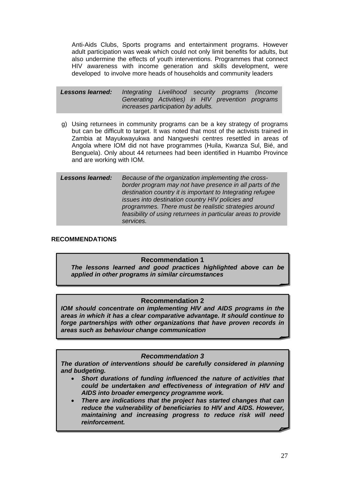Anti-Aids Clubs, Sports programs and entertainment programs. However adult participation was weak which could not only limit benefits for adults, but also undermine the effects of youth interventions. Programmes that connect HIV awareness with income generation and skills development, were developed to involve more heads of households and community leaders

*Lessons learned: Integrating Livelihood security programs (Income Generating Activities) in HIV prevention programs increases participation by adults.* 

g) Using returnees in community programs can be a key strategy of programs but can be difficult to target. It was noted that most of the activists trained in Zambia at Mayukwayukwa and Nangweshi centres resettled in areas of Angola where IOM did not have programmes (Huila, Kwanza Sul, Bié, and Benguela). Only about 44 returnees had been identified in Huambo Province and are working with IOM.

*Lessons learned: Because of the organization implementing the crossborder program may not have presence in all parts of the destination country it is important to Integrating refugee issues into destination country HIV policies and programmes. There must be realistic strategies around feasibility of using returnees in particular areas to provide services.*

### **RECOMMENDATIONS**

#### **Recommendation 1**

*The lessons learned and good practices highlighted above can be applied in other programs in similar circumstances* 

#### **Recommendation 2**

*IOM should concentrate on implementing HIV and AIDS programs in the areas in which it has a clear comparative advantage. It should continue to forge partnerships with other organizations that have proven records in areas such as behaviour change communication*

#### *Recommendation 3*

*The duration of interventions should be carefully considered in planning and budgeting.* 

- *Short durations of funding influenced the nature of activities that could be undertaken and effectiveness of integration of HIV and AIDS into broader emergency programme work.*
- *There are indications that the project has started changes that can reduce the vulnerability of beneficiaries to HIV and AIDS. However, maintaining and increasing progress to reduce risk will need reinforcement.*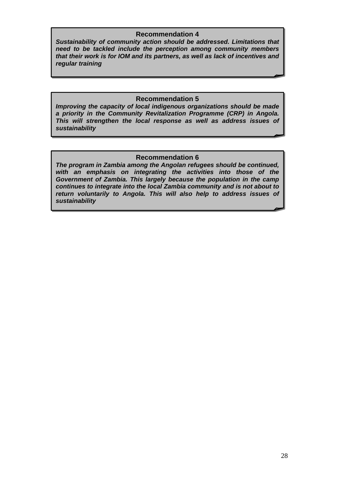### **Recommendation 4**

*that their work is for IOM and its partners, as well as lack of incentives and* 7. *regular training Sustainability of community action should be addressed. Limitations that need to be tackled include the perception among community members* 

# **Recommendation 5**

*Improving the capacity of local indigenous organizations should be made a priority in the Community Revitalization Programme (CRP) in Angola. This will strengthen the local response as well as address issues of sustainability* 

# **Recommendation 6**

*The program in Zambia among the Angolan refugees should be continued, with an emphasis on integrating the activities into those of the Government of Zambia. This largely because the population in the camp continues to integrate into the local Zambia community and is not about to return voluntarily to Angola. This will also help to address issues of sustainability*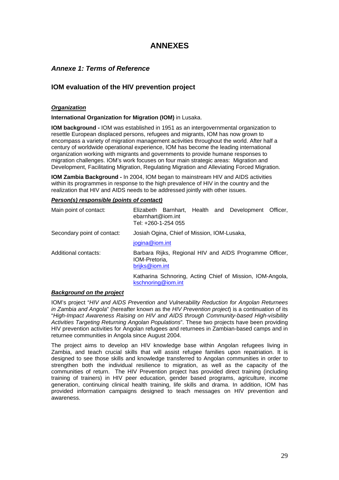# **ANNEXES**

# <span id="page-37-0"></span>*Annexe 1: Terms of Reference*

# **IOM evaluation of the HIV prevention project**

#### *Organization*

**International Organization for Migration (IOM)** in Lusaka.

**IOM background -** IOM was established in 1951 as an intergovernmental organization to resettle European displaced persons, refugees and migrants, IOM has now grown to encompass a variety of migration management activities throughout the world. After half a century of worldwide operational experience, IOM has become the leading international organization working with migrants and governments to provide humane responses to migration challenges. IOM's work focuses on four main strategic areas: Migration and Development, Facilitating Migration, Regulating Migration and Alleviating Forced Migration.

**IOM Zambia Background -** In 2004, IOM began to mainstream HIV and AIDS activities within its programmes in response to the high prevalence of HIV in the country and the realization that HIV and AIDS needs to be addressed jointly with other issues.

#### *Person(s) responsible (points of contact)*

| Main point of contact:      | Elizabeth Barnhart, Health and Development Officer,<br>ebarnhart@iom.int<br>Tel: +260-1-254 055 |  |  |  |  |  |  |
|-----------------------------|-------------------------------------------------------------------------------------------------|--|--|--|--|--|--|
| Secondary point of contact: | Josiah Ogina, Chief of Mission, IOM-Lusaka,                                                     |  |  |  |  |  |  |
|                             | jogina@iom.int                                                                                  |  |  |  |  |  |  |
| Additional contacts:        | Barbara Rijks, Regional HIV and AIDS Programme Officer,<br>IOM-Pretoria,<br>brijks@iom.int      |  |  |  |  |  |  |
|                             | Katharina Schnoring, Acting Chief of Mission, IOM-Angola,<br>kschnoring@iom.int                 |  |  |  |  |  |  |

#### *Background on the project*

IOM's project "*HIV and AIDS Prevention and Vulnerability Reduction for Angolan Returnees in Zambia and Angola*" (hereafter known as the *HIV Prevention project*) is a continuation of its "*High-Impact Awareness Raising on HIV and AIDS through Community-based High-visibility Activities Targeting Returning Angolan Populations*". These two projects have been providing HIV prevention activities for Angolan refugees and returnees in Zambian-based camps and in returnee communities in Angola since August 2004.

The project aims to develop an HIV knowledge base within Angolan refugees living in Zambia, and teach crucial skills that will assist refugee families upon repatriation. It is designed to see those skills and knowledge transferred to Angolan communities in order to strengthen both the individual resilience to migration, as well as the capacity of the communities of return. The HIV Prevention project has provided direct training (including training of trainers) in HIV peer education, gender based programs, agriculture, income generation, continuing clinical health training, life skills and drama. In addition, IOM has provided information campaigns designed to teach messages on HIV prevention and awareness.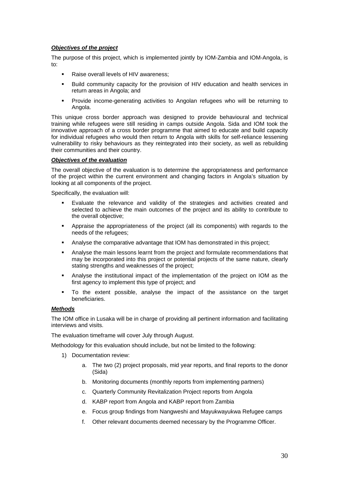#### *Objectives of the project*

The purpose of this project, which is implemented jointly by IOM-Zambia and IOM-Angola, is to:

- Raise overall levels of HIV awareness;
- Build community capacity for the provision of HIV education and health services in return areas in Angola; and
- Provide income-generating activities to Angolan refugees who will be returning to Angola.

This unique cross border approach was designed to provide behavioural and technical training while refugees were still residing in camps outside Angola. Sida and IOM took the innovative approach of a cross border programme that aimed to educate and build capacity for individual refugees who would then return to Angola with skills for self-reliance lessening vulnerability to risky behaviours as they reintegrated into their society, as well as rebuilding their communities and their country.

#### *Objectives of the evaluation*

The overall objective of the evaluation is to determine the appropriateness and performance of the project within the current environment and changing factors in Angola's situation by looking at all components of the project.

Specifically, the evaluation will:

- Evaluate the relevance and validity of the strategies and activities created and selected to achieve the main outcomes of the project and its ability to contribute to the overall objective;
- Appraise the appropriateness of the project (all its components) with regards to the needs of the refugees;
- Analyse the comparative advantage that IOM has demonstrated in this project;
- Analyse the main lessons learnt from the project and formulate recommendations that may be incorporated into this project or potential projects of the same nature, clearly stating strengths and weaknesses of the project;
- Analyse the institutional impact of the implementation of the project on IOM as the first agency to implement this type of project; and
- To the extent possible, analyse the impact of the assistance on the target beneficiaries.

#### *Methods*

The IOM office in Lusaka will be in charge of providing all pertinent information and facilitating interviews and visits.

The evaluation timeframe will cover July through August.

Methodology for this evaluation should include, but not be limited to the following:

- 1) Documentation review:
	- a. The two (2) project proposals, mid year reports, and final reports to the donor (Sida)
	- b. Monitoring documents (monthly reports from implementing partners)
	- c. Quarterly Community Revitalization Project reports from Angola
	- d. KABP report from Angola and KABP report from Zambia
	- e. Focus group findings from Nangweshi and Mayukwayukwa Refugee camps
	- f. Other relevant documents deemed necessary by the Programme Officer.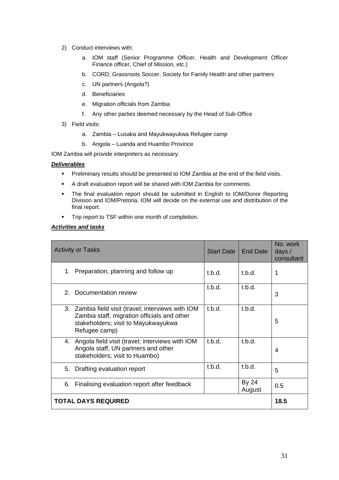- 2) Conduct interviews with:
	- a. IOM staff (Senior Programme Officer, Health and Development Officer Finance officer, Chief of Mission, etc.)
	- b. CORD, Grassroots Soccer, Society for Family Health and other partners
	- c. UN partners (Angola?)
	- d. Beneficiaries
	- e. Migration officials from Zambia
	- f. Any other parties deemed necessary by the Head of Sub-Office
- 3) Field visits:
	- a. Zambia Lusaka and Mayukwayukwa Refugee camp
	- b. Angola Luanda and Huambo Province

IOM Zambia will provide interpreters as necessary.

#### *Deliverables*

- **Preliminary results should be presented to IOM Zambia at the end of the field visits.**
- A draft evaluation report will be shared with IOM Zambia for comments.
- The final evaluation report should be submitted in English to IOM/Donor Reporting Division and IOM/Pretoria. IOM will decide on the external use and distribution of the final report.
- **Trip report to TSF within one month of completion.**

#### *Activities and tasks*

| <b>Activity or Tasks</b>                                                                                                                                  | <b>Start Date</b> | End Date        | No. work<br>days $/$<br>consultant |  |
|-----------------------------------------------------------------------------------------------------------------------------------------------------------|-------------------|-----------------|------------------------------------|--|
| Preparation, planning and follow up<br>1.                                                                                                                 | t.b.d.            | t.b.d.          | 1                                  |  |
| Documentation review<br>$2^{\circ}$                                                                                                                       | t.b.d.            | t.b.d.          | 3                                  |  |
| 3. Zambia field visit (travel; interviews with IOM<br>Zambia staff, migration officials and other<br>stakeholders; visit to Mayukwayukwa<br>Refugee camp) | t.b.d.            | t.b.d.          | 5                                  |  |
| 4. Angola field visit (travel; interviews with IOM<br>Angola staff, UN partners and other<br>stakeholders; visit to Huambo)                               | t.b.d.            | t.b.d.          | 4                                  |  |
| Drafting evaluation report<br>5.                                                                                                                          | t.b.d.            | t.b.d.          | 5                                  |  |
| 6. Finalising evaluation report after feedback                                                                                                            |                   | By 24<br>August | 0.5                                |  |
| <b>TOTAL DAYS REQUIRED</b>                                                                                                                                |                   |                 |                                    |  |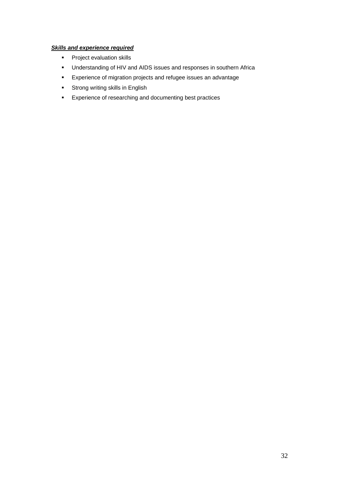# *Skills and experience required*

- **Project evaluation skills**
- Understanding of HIV and AIDS issues and responses in southern Africa
- Experience of migration projects and refugee issues an advantage
- **EXECT:** Strong writing skills in English
- Experience of researching and documenting best practices